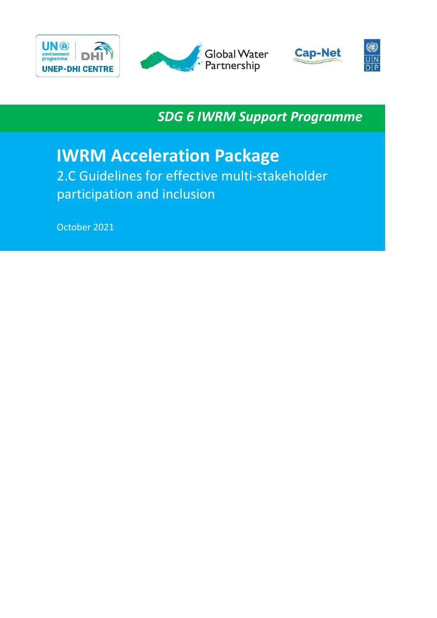





O)  $\overline{\mathsf{U}|\mathsf{N}}$  $\overline{D}$ 

*SDG 6 IWRM Support Programme*

# **IWRM Acceleration Package**

2.C Guidelines for effective multi-stakeholder participation and inclusion

October 2021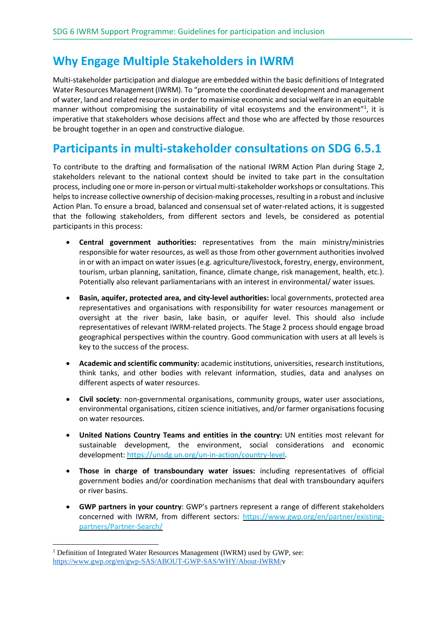### **Why Engage Multiple Stakeholders in IWRM**

Multi-stakeholder participation and dialogue are embedded within the basic definitions of Integrated Water Resources Management (IWRM). To "promote the coordinated development and management of water, land and related resources in order to maximise economic and social welfare in an equitable manner without compromising the sustainability of vital ecosystems and the environment"<sup>1</sup>, it is imperative that stakeholders whose decisions affect and those who are affected by those resources be brought together in an open and constructive dialogue.

### **Participants in multi-stakeholder consultations on SDG 6.5.1**

To contribute to the drafting and formalisation of the national IWRM Action Plan during Stage 2, stakeholders relevant to the national context should be invited to take part in the consultation process, including one or more in-person or virtual multi-stakeholder workshops or consultations. This helps to increase collective ownership of decision-making processes, resulting in a robust and inclusive Action Plan. To ensure a broad, balanced and consensual set of water-related actions, it is suggested that the following stakeholders, from different sectors and levels, be considered as potential participants in this process:

- **Central government authorities:** representatives from the main ministry/ministries responsible for water resources, as well as those from other government authorities involved in or with an impact on water issues(e.g. agriculture/livestock, forestry, energy, environment, tourism, urban planning, sanitation, finance, climate change, risk management, health, etc.). Potentially also relevant parliamentarians with an interest in environmental/ water issues.
- **Basin, aquifer, protected area, and city-level authorities:** local governments, protected area representatives and organisations with responsibility for water resources management or oversight at the river basin, lake basin, or aquifer level. This should also include representatives of relevant IWRM-related projects. The Stage 2 process should engage broad geographical perspectives within the country. Good communication with users at all levels is key to the success of the process.
- **Academic and scientific community:** academic institutions, universities, research institutions, think tanks, and other bodies with relevant information, studies, data and analyses on different aspects of water resources.
- **Civil society**: non-governmental organisations, community groups, water user associations, environmental organisations, citizen science initiatives, and/or farmer organisations focusing on water resources.
- **United Nations Country Teams and entities in the country:** UN entities most relevant for sustainable development, the environment, social considerations and economic development: [https://unsdg.un.org/un-in-action/country-level.](https://unsdg.un.org/un-in-action/country-level)
- **Those in charge of transboundary water issues:** including representatives of official government bodies and/or coordination mechanisms that deal with transboundary aquifers or river basins.
- **GWP partners in your country**: GWP's partners represent a range of different stakeholders concerned with IWRM, from different sectors: [https://www.gwp.org/en/partner/existing](https://www.gwp.org/en/partner/existing-partners/Partner-Search/)[partners/Partner-Search/](https://www.gwp.org/en/partner/existing-partners/Partner-Search/)

<sup>&</sup>lt;sup>1</sup> Definition of Integrated Water Resources Management (IWRM) used by GWP, see: [https://www.gwp.org/en/gwp-SAS/ABOUT-GWP-SAS/WHY/About-IWRM/v](https://www.gwp.org/en/gwp-SAS/ABOUT-GWP-SAS/WHY/About-IWRM/)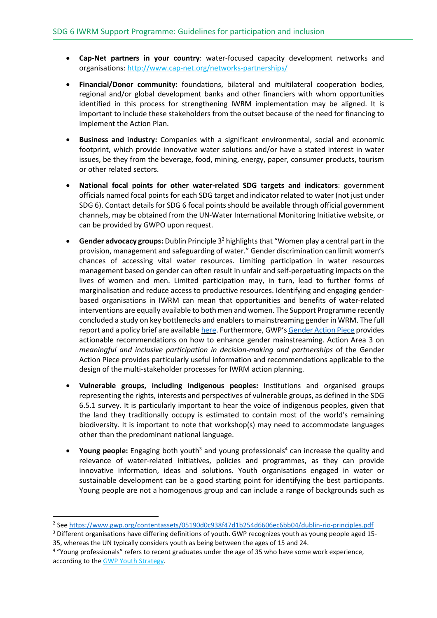- **Cap-Net partners in your country**: water-focused capacity development networks and organisations: <http://www.cap-net.org/networks-partnerships/>
- **Financial/Donor community:** foundations, bilateral and multilateral cooperation bodies, regional and/or global development banks and other financiers with whom opportunities identified in this process for strengthening IWRM implementation may be aligned. It is important to include these stakeholders from the outset because of the need for financing to implement the Action Plan.
- **Business and industry:** Companies with a significant environmental, social and economic footprint, which provide innovative water solutions and/or have a stated interest in water issues, be they from the beverage, food, mining, energy, paper, consumer products, tourism or other related sectors.
- **National focal points for other water-related SDG targets and indicators**: government officials named focal points for each SDG target and indicator related to water (not just under SDG 6). Contact details for SDG 6 focal points should be available through official government channels, may be obtained from the UN-Water International Monitoring Initiative website, or can be provided by GWPO upon request.
- **Gender advocacy groups:** Dublin Principle 3 <sup>2</sup> highlights that "Women play a central part in the provision, management and safeguarding of water." Gender discrimination can limit women's chances of accessing vital water resources. Limiting participation in water resources management based on gender can often result in unfair and self-perpetuating impacts on the lives of women and men. Limited participation may, in turn, lead to further forms of marginalisation and reduce access to productive resources. Identifying and engaging genderbased organisations in IWRM can mean that opportunities and benefits of water-related interventions are equally available to both men and women. The Support Programme recently concluded a study on key bottlenecks and enablers to mainstreaming gender in WRM. The full report and a policy brief are available [here.](https://www.gwp.org/en/sdg6support/gender/) Furthermore, GWP's [Gender](https://gwp.org/globalassets/global/about-gwp/publications/gender/gender-action-piece.pdf) Action Piece provides actionable recommendations on how to enhance gender mainstreaming. Action Area 3 on *meaningful and inclusive participation in decision-making and partnerships* of the Gender Action Piece provides particularly useful information and recommendations applicable to the design of the multi-stakeholder processes for IWRM action planning.
- **Vulnerable groups, including indigenous peoples:** Institutions and organised groups representing the rights, interests and perspectives of vulnerable groups, as defined in the SDG 6.5.1 survey. It is particularly important to hear the voice of indigenous peoples, given that the land they traditionally occupy is estimated to contain most of the world's remaining biodiversity. It is important to note that workshop(s) may need to accommodate languages other than the predominant national language.
- Young people: Engaging both youth<sup>3</sup> and young professionals<sup>4</sup> can increase the quality and relevance of water-related initiatives, policies and programmes, as they can provide innovative information, ideas and solutions. Youth organisations engaged in water or sustainable development can be a good starting point for identifying the best participants. Young people are not a homogenous group and can include a range of backgrounds such as

<sup>2</sup> See <https://www.gwp.org/contentassets/05190d0c938f47d1b254d6606ec6bb04/dublin-rio-principles.pdf>

<sup>&</sup>lt;sup>3</sup> Different organisations have differing definitions of youth. GWP recognizes youth as young people aged 15-35, whereas the UN typically considers youth as being between the ages of 15 and 24.

<sup>&</sup>lt;sup>4</sup> "Young professionals" refers to recent graduates under the age of 35 who have some work experience, according to the GWP Youth [Strategy.](https://www.gwp.org/globalassets/global/about-gwp/strategic-documents/gwp_youth-strategy_web.pdf)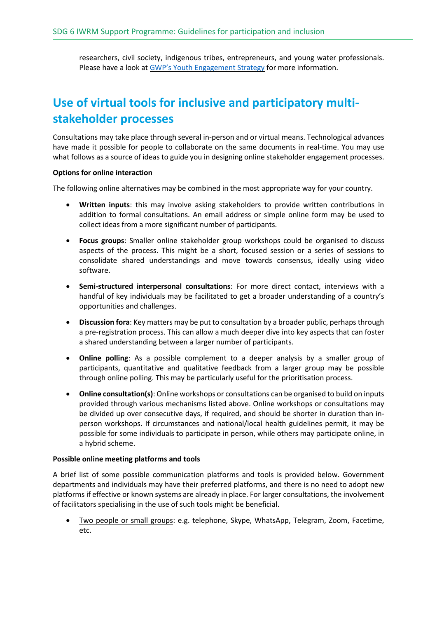researchers, civil society, indigenous tribes, entrepreneurs, and young water professionals. Please have a look at GWP's Youth [Engagement](https://www.gwp.org/globalassets/global/about-gwp/strategic-documents/gwp_youth-strategy_web.pdf) Strategy for more information.

## **Use of virtual tools for inclusive and participatory multistakeholder processes**

Consultations may take place through several in-person and or virtual means. Technological advances have made it possible for people to collaborate on the same documents in real-time. You may use what follows as a source of ideas to guide you in designing online stakeholder engagement processes.

#### **Options for online interaction**

The following online alternatives may be combined in the most appropriate way for your country.

- **Written inputs**: this may involve asking stakeholders to provide written contributions in addition to formal consultations. An email address or simple online form may be used to collect ideas from a more significant number of participants.
- **Focus groups**: Smaller online stakeholder group workshops could be organised to discuss aspects of the process. This might be a short, focused session or a series of sessions to consolidate shared understandings and move towards consensus, ideally using video software.
- **Semi-structured interpersonal consultations**: For more direct contact, interviews with a handful of key individuals may be facilitated to get a broader understanding of a country's opportunities and challenges.
- **Discussion fora**: Key matters may be put to consultation by a broader public, perhaps through a pre-registration process. This can allow a much deeper dive into key aspects that can foster a shared understanding between a larger number of participants.
- **Online polling**: As a possible complement to a deeper analysis by a smaller group of participants, quantitative and qualitative feedback from a larger group may be possible through online polling. This may be particularly useful for the prioritisation process.
- **Online consultation(s)**: Online workshops or consultations can be organised to build on inputs provided through various mechanisms listed above. Online workshops or consultations may be divided up over consecutive days, if required, and should be shorter in duration than inperson workshops. If circumstances and national/local health guidelines permit, it may be possible for some individuals to participate in person, while others may participate online, in a hybrid scheme.

#### **Possible online meeting platforms and tools**

A brief list of some possible communication platforms and tools is provided below. Government departments and individuals may have their preferred platforms, and there is no need to adopt new platforms if effective or known systems are already in place. For larger consultations, the involvement of facilitators specialising in the use of such tools might be beneficial.

• Two people or small groups: e.g. telephone, Skype, WhatsApp, Telegram, Zoom, Facetime, etc.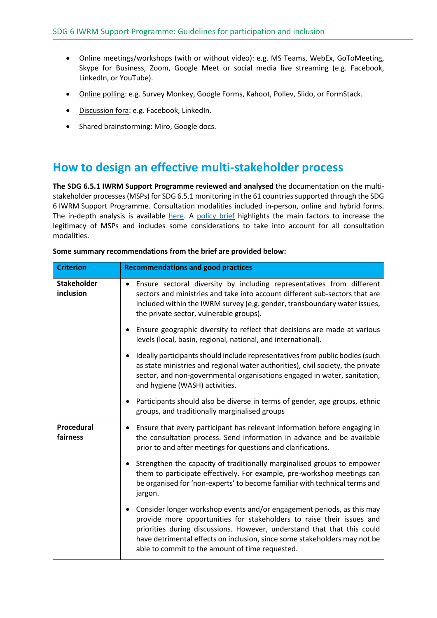- Online meetings/workshops (with or without video): e.g. MS Teams, WebEx, GoToMeeting, Skype for Business, Zoom, Google Meet or social media live streaming (e.g. Facebook, LinkedIn, or YouTube).
- Online polling: e.g. Survey Monkey, Google Forms, Kahoot, Pollev, Slido, or FormStack.
- Discussion fora: e.g. Facebook, LinkedIn.
- Shared brainstorming: Miro, Google docs.

### **How to design an effective multi-stakeholder process**

**The SDG 6.5.1 IWRM Support Programme reviewed and analysed** the documentation on the multistakeholder processes (MSPs) for SDG 6.5.1 monitoring in the 61 countries supported through the SDG 6 IWRM Support Programme. Consultation modalities included in-person, online and hybrid forms. The in-depth analysis is available [here.](https://www.gwp.org/en/sdg6support/MSPs) A [policy](https://www.gwp.org/en/sdg6support/MSPs) brief highlights the main factors to increase the legitimacy of MSPs and includes some considerations to take into account for all consultation modalities.

| <b>Criterion</b>                | <b>Recommendations and good practices</b>                                                                                                                                                                                                                                                                                                                  |
|---------------------------------|------------------------------------------------------------------------------------------------------------------------------------------------------------------------------------------------------------------------------------------------------------------------------------------------------------------------------------------------------------|
| <b>Stakeholder</b><br>inclusion | • Ensure sectoral diversity by including representatives from different<br>sectors and ministries and take into account different sub-sectors that are<br>included within the IWRM survey (e.g. gender, transboundary water issues,<br>the private sector, vulnerable groups).                                                                             |
|                                 | Ensure geographic diversity to reflect that decisions are made at various<br>levels (local, basin, regional, national, and international).                                                                                                                                                                                                                 |
|                                 | Ideally participants should include representatives from public bodies (such<br>as state ministries and regional water authorities), civil society, the private<br>sector, and non-governmental organisations engaged in water, sanitation,<br>and hygiene (WASH) activities.                                                                              |
|                                 | Participants should also be diverse in terms of gender, age groups, ethnic<br>groups, and traditionally marginalised groups                                                                                                                                                                                                                                |
| Procedural<br>fairness          | Ensure that every participant has relevant information before engaging in<br>$\bullet$<br>the consultation process. Send information in advance and be available<br>prior to and after meetings for questions and clarifications.                                                                                                                          |
|                                 | Strengthen the capacity of traditionally marginalised groups to empower<br>them to participate effectively. For example, pre-workshop meetings can<br>be organised for 'non-experts' to become familiar with technical terms and<br>jargon.                                                                                                                |
|                                 | Consider longer workshop events and/or engagement periods, as this may<br>provide more opportunities for stakeholders to raise their issues and<br>priorities during discussions. However, understand that that this could<br>have detrimental effects on inclusion, since some stakeholders may not be<br>able to commit to the amount of time requested. |

#### **Some summary recommendations from the brief are provided below:**